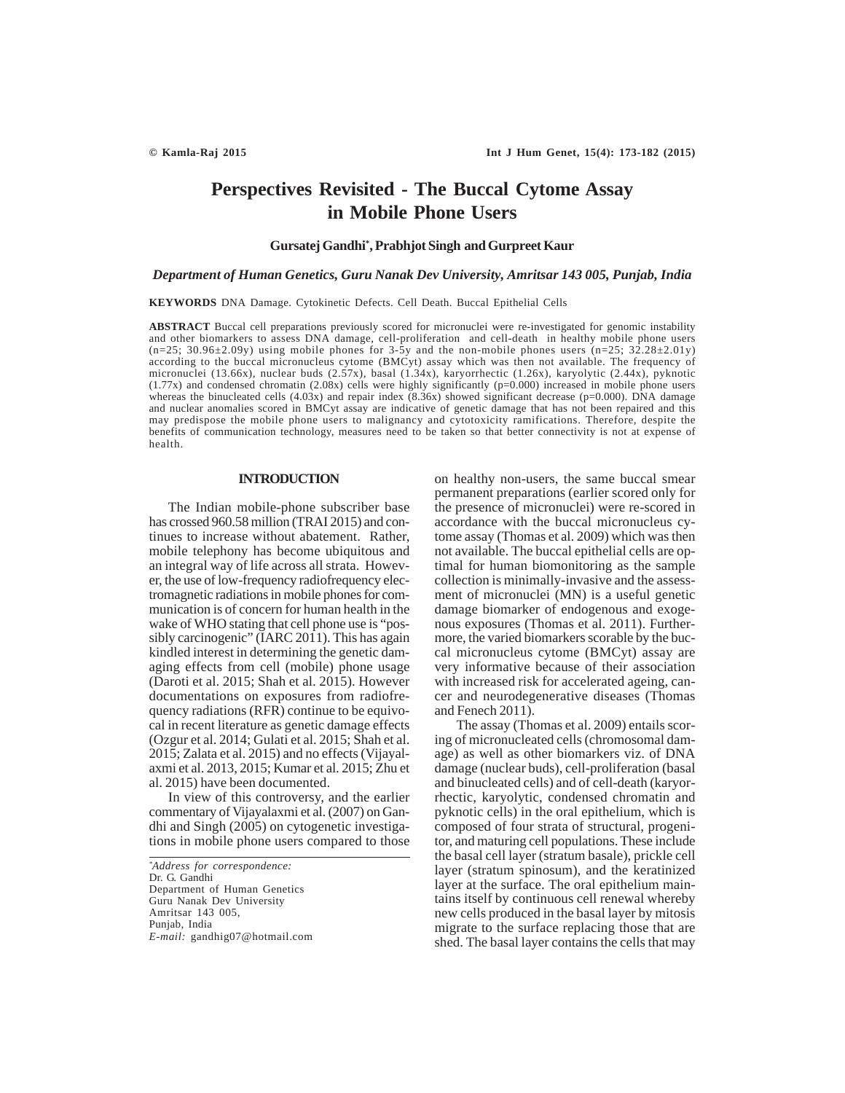# **Perspectives Revisited - The Buccal Cytome Assay in Mobile Phone Users**

## **Gursatej Gandhi\* , Prabhjot Singh and Gurpreet Kaur**

## *Department of Human Genetics, Guru Nanak Dev University, Amritsar 143 005, Punjab, India*

**KEYWORDS** DNA Damage. Cytokinetic Defects. Cell Death. Buccal Epithelial Cells

**ABSTRACT** Buccal cell preparations previously scored for micronuclei were re-investigated for genomic instability and other biomarkers to assess DNA damage, cell-proliferation and cell-death in healthy mobile phone users  $(n=25; 30.96\pm2.09y)$  using mobile phones for  $3-5y$  and the non-mobile phones users  $(n=25; 32.28\pm2.01y)$ according to the buccal micronucleus cytome (BMCyt) assay which was then not available. The frequency of micronuclei (13.66x), nuclear buds (2.57x), basal (1.34x), karyorrhectic (1.26x), karyolytic (2.44x), pyknotic (1.77x) and condensed chromatin (2.08x) cells were highly significantly (p=0.000) increased in mobile phone users whereas the binucleated cells (4.03x) and repair index  $(8.36x)$  showed significant decrease (p=0.000). DNA damage and nuclear anomalies scored in BMCyt assay are indicative of genetic damage that has not been repaired and this may predispose the mobile phone users to malignancy and cytotoxicity ramifications. Therefore, despite the benefits of communication technology, measures need to be taken so that better connectivity is not at expense of health.

# **INTRODUCTION**

The Indian mobile-phone subscriber base has crossed 960.58 million (TRAI 2015) and continues to increase without abatement. Rather, mobile telephony has become ubiquitous and an integral way of life across all strata. However, the use of low-frequency radiofrequency electromagnetic radiations in mobile phones for communication is of concern for human health in the wake of WHO stating that cell phone use is "possibly carcinogenic" (IARC 2011). This has again kindled interest in determining the genetic damaging effects from cell (mobile) phone usage (Daroti et al. 2015; Shah et al. 2015). However documentations on exposures from radiofrequency radiations (RFR) continue to be equivocal in recent literature as genetic damage effects (Ozgur et al. 2014; Gulati et al. 2015; Shah et al. 2015; Zalata et al. 2015) and no effects (Vijayalaxmi et al. 2013, 2015; Kumar et al. 2015; Zhu et al. 2015) have been documented.

In view of this controversy, and the earlier commentary of Vijayalaxmi et al. (2007) on Gandhi and Singh (2005) on cytogenetic investigations in mobile phone users compared to those

*\* Address for correspondence:* Dr. G. Gandhi Department of Human Genetics Guru Nanak Dev University Amritsar 143 005, Punjab, India *E-mail:* gandhig07@hotmail.com on healthy non-users, the same buccal smear permanent preparations (earlier scored only for the presence of micronuclei) were re-scored in accordance with the buccal micronucleus cytome assay (Thomas et al. 2009) which was then not available. The buccal epithelial cells are optimal for human biomonitoring as the sample collection is minimally-invasive and the assessment of micronuclei (MN) is a useful genetic damage biomarker of endogenous and exogenous exposures (Thomas et al. 2011). Furthermore, the varied biomarkers scorable by the buccal micronucleus cytome (BMCyt) assay are very informative because of their association with increased risk for accelerated ageing, cancer and neurodegenerative diseases (Thomas and Fenech 2011).

 The assay (Thomas et al. 2009) entails scoring of micronucleated cells (chromosomal damage) as well as other biomarkers viz. of DNA damage (nuclear buds), cell-proliferation (basal and binucleated cells) and of cell-death (karyorrhectic, karyolytic, condensed chromatin and pyknotic cells) in the oral epithelium, which is composed of four strata of structural, progenitor, and maturing cell populations. These include the basal cell layer (stratum basale), prickle cell layer (stratum spinosum), and the keratinized layer at the surface. The oral epithelium maintains itself by continuous cell renewal whereby new cells produced in the basal layer by mitosis migrate to the surface replacing those that are shed. The basal layer contains the cells that may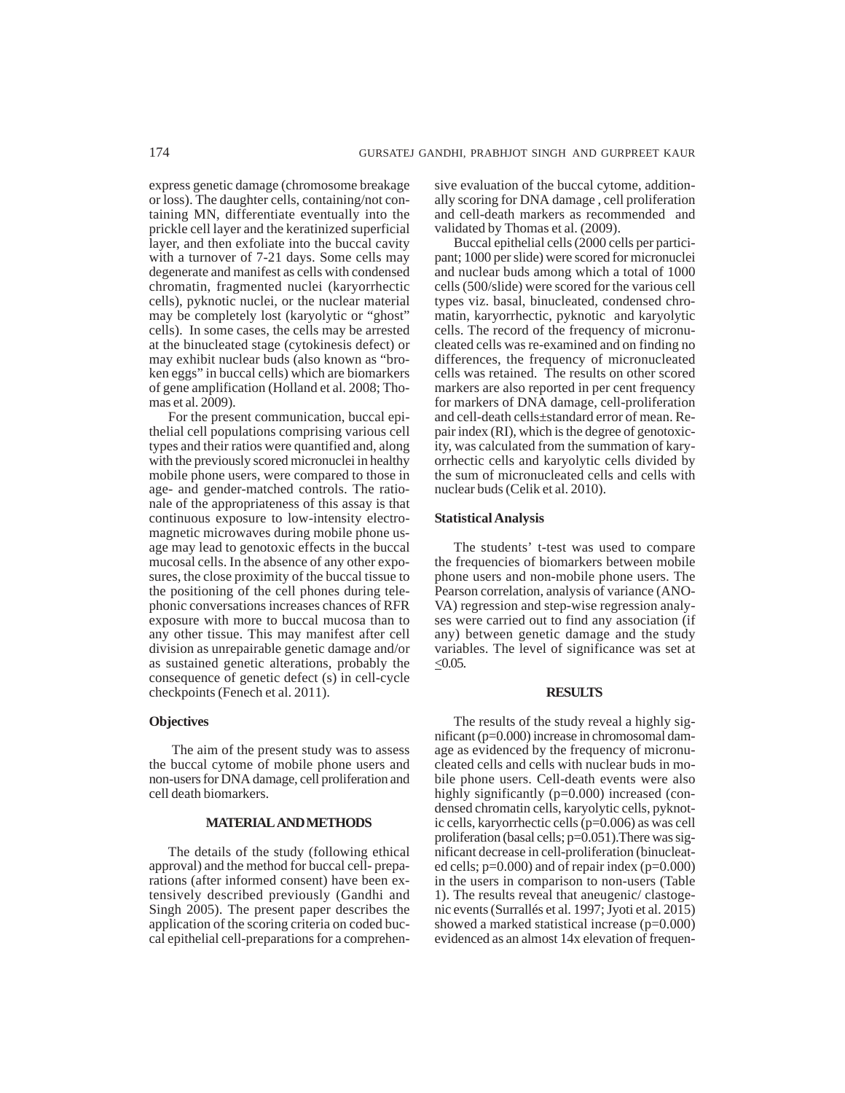express genetic damage (chromosome breakage or loss). The daughter cells, containing/not containing MN, differentiate eventually into the prickle cell layer and the keratinized superficial layer, and then exfoliate into the buccal cavity with a turnover of 7-21 days. Some cells may degenerate and manifest as cells with condensed chromatin, fragmented nuclei (karyorrhectic cells), pyknotic nuclei, or the nuclear material may be completely lost (karyolytic or "ghost" cells). In some cases, the cells may be arrested at the binucleated stage (cytokinesis defect) or may exhibit nuclear buds (also known as "broken eggs" in buccal cells) which are biomarkers of gene amplification (Holland et al. 2008; Thomas et al. 2009).

For the present communication, buccal epithelial cell populations comprising various cell types and their ratios were quantified and, along with the previously scored micronuclei in healthy mobile phone users, were compared to those in age- and gender-matched controls. The rationale of the appropriateness of this assay is that continuous exposure to low-intensity electromagnetic microwaves during mobile phone usage may lead to genotoxic effects in the buccal mucosal cells. In the absence of any other exposures, the close proximity of the buccal tissue to the positioning of the cell phones during telephonic conversations increases chances of RFR exposure with more to buccal mucosa than to any other tissue. This may manifest after cell division as unrepairable genetic damage and/or as sustained genetic alterations, probably the consequence of genetic defect (s) in cell-cycle checkpoints (Fenech et al. 2011).

# **Objectives**

 The aim of the present study was to assess the buccal cytome of mobile phone users and non-users for DNA damage, cell proliferation and cell death biomarkers.

#### **MATERIAL AND METHODS**

The details of the study (following ethical approval) and the method for buccal cell- preparations (after informed consent) have been extensively described previously (Gandhi and Singh 2005). The present paper describes the application of the scoring criteria on coded buccal epithelial cell-preparations for a comprehensive evaluation of the buccal cytome, additionally scoring for DNA damage , cell proliferation and cell-death markers as recommended and validated by Thomas et al. (2009).

Buccal epithelial cells (2000 cells per participant; 1000 per slide) were scored for micronuclei and nuclear buds among which a total of 1000 cells (500/slide) were scored for the various cell types viz. basal, binucleated, condensed chromatin, karyorrhectic, pyknotic and karyolytic cells. The record of the frequency of micronucleated cells was re-examined and on finding no differences, the frequency of micronucleated cells was retained. The results on other scored markers are also reported in per cent frequency for markers of DNA damage, cell-proliferation and cell-death cells±standard error of mean. Repair index (RI), which is the degree of genotoxicity, was calculated from the summation of karyorrhectic cells and karyolytic cells divided by the sum of micronucleated cells and cells with nuclear buds (Celik et al. 2010).

## **Statistical Analysis**

The students' t-test was used to compare the frequencies of biomarkers between mobile phone users and non-mobile phone users. The Pearson correlation, analysis of variance (ANO-VA) regression and step-wise regression analyses were carried out to find any association (if any) between genetic damage and the study variables. The level of significance was set at  $< 0.05$ .

#### **RESULTS**

The results of the study reveal a highly significant (p=0.000) increase in chromosomal damage as evidenced by the frequency of micronucleated cells and cells with nuclear buds in mobile phone users. Cell-death events were also highly significantly (p=0.000) increased (condensed chromatin cells, karyolytic cells, pyknotic cells, karyorrhectic cells (p=0.006) as was cell proliferation (basal cells; p=0.051).There was significant decrease in cell-proliferation (binucleated cells;  $p=0.000$ ) and of repair index ( $p=0.000$ ) in the users in comparison to non-users (Table 1). The results reveal that aneugenic/ clastogenic events (Surrallés et al. 1997; Jyoti et al. 2015) showed a marked statistical increase (p=0.000) evidenced as an almost 14x elevation of frequen-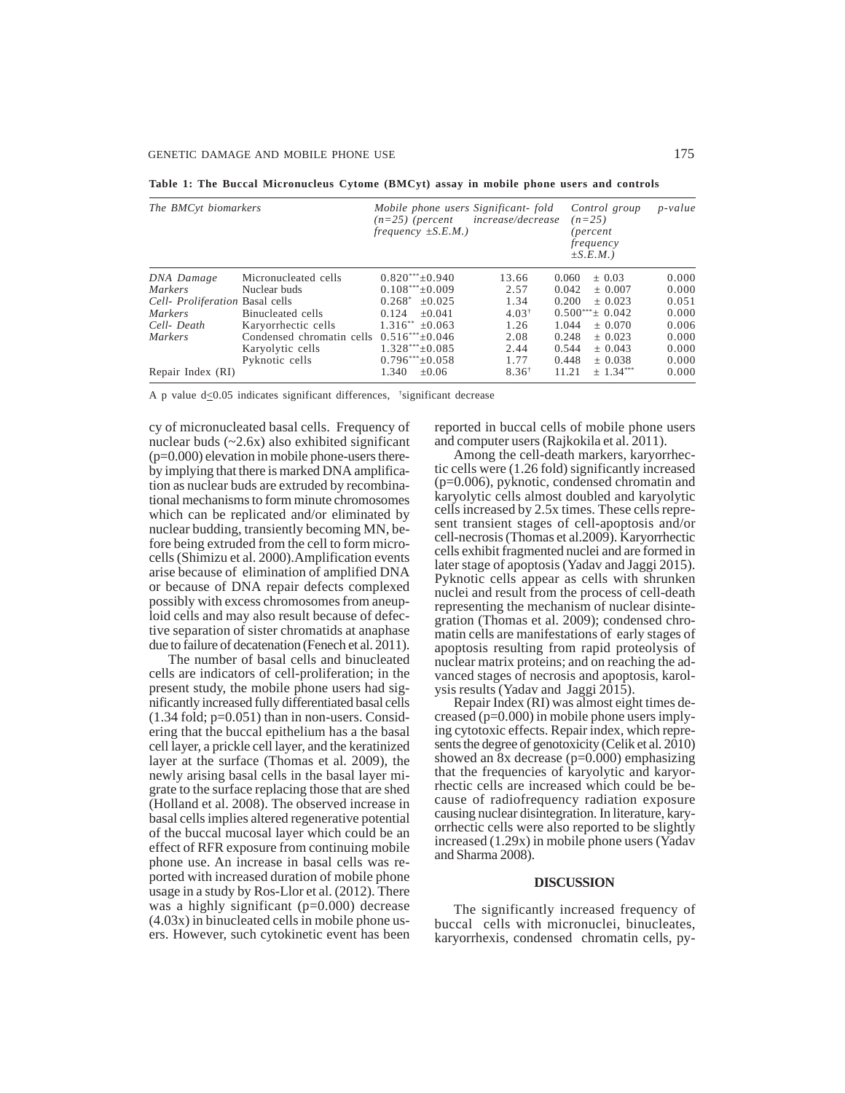**Table 1: The Buccal Micronucleus Cytome (BMCyt) assay in mobile phone users and controls**

| The BMC <sub>vt</sub> biomarkers |                                            | Mobile phone users Significant-fold<br>increase/decrease<br>$(n=25)$ (percent<br>frequency $\pm S.E.M.$ ) |                  | Control group<br>$(n=25)$<br>(percent<br>frequency<br>$\pm S.E.M.$ ) | $p-value$ |
|----------------------------------|--------------------------------------------|-----------------------------------------------------------------------------------------------------------|------------------|----------------------------------------------------------------------|-----------|
| DNA Damage                       | Micronucleated cells                       | $0.820***+0.940$                                                                                          | 13.66            | 0.060<br>$+0.03$                                                     | 0.000     |
| <i>Markers</i>                   | Nuclear buds                               | $0.108***\pm0.009$                                                                                        | 2.57             | 0.042<br>$+0.007$                                                    | 0.000     |
| Cell- Proliferation Basal cells  |                                            | $0.268*$<br>$+0.025$                                                                                      | 1.34             | 0.200<br>$+0.023$                                                    | 0.051     |
| <i>Markers</i>                   | Binucleated cells                          | $+0.041$<br>0.124                                                                                         | $4.03^+$         | $0.500***\pm 0.042$                                                  | 0.000     |
| Cell-Death                       | Karyorrhectic cells                        | $1.316^{**}$ +0.063                                                                                       | 1.26             | 1.044<br>$+0.070$                                                    | 0.006     |
| <i>Markers</i>                   | Condensed chromatin cells $0.516***+0.046$ |                                                                                                           | 2.08             | 0.248<br>$+0.023$                                                    | 0.000     |
|                                  | Karyolytic cells                           | $1.328***+0.085$                                                                                          | 2.44             | 0.544<br>$+0.043$                                                    | 0.000     |
|                                  | Pyknotic cells                             | $0.796***+0.058$                                                                                          | 1.77             | 0.448<br>$+0.038$                                                    | 0.000     |
| Repair Index (RI)                |                                            | $+0.06$<br>1.340                                                                                          | $8.36^{\dagger}$ | 11.21<br>$+1.34***$                                                  | 0.000     |

A p value  $d \le 0.05$  indicates significant differences,  $\beta$ ignificant decrease

cy of micronucleated basal cells. Frequency of nuclear buds  $(-2.6x)$  also exhibited significant (p=0.000) elevation in mobile phone-users thereby implying that there is marked DNA amplification as nuclear buds are extruded by recombinational mechanisms to form minute chromosomes which can be replicated and/or eliminated by nuclear budding, transiently becoming MN, before being extruded from the cell to form microcells (Shimizu et al. 2000).Amplification events arise because of elimination of amplified DNA or because of DNA repair defects complexed possibly with excess chromosomes from aneuploid cells and may also result because of defective separation of sister chromatids at anaphase due to failure of decatenation (Fenech et al. 2011).

The number of basal cells and binucleated cells are indicators of cell-proliferation; in the present study, the mobile phone users had significantly increased fully differentiated basal cells  $(1.34 \text{ fold}; \text{p=0.051})$  than in non-users. Considering that the buccal epithelium has a the basal cell layer, a prickle cell layer, and the keratinized layer at the surface (Thomas et al. 2009), the newly arising basal cells in the basal layer migrate to the surface replacing those that are shed (Holland et al. 2008). The observed increase in basal cells implies altered regenerative potential of the buccal mucosal layer which could be an effect of RFR exposure from continuing mobile phone use. An increase in basal cells was reported with increased duration of mobile phone usage in a study by Ros-Llor et al. (2012). There was a highly significant (p=0.000) decrease (4.03x) in binucleated cells in mobile phone users. However, such cytokinetic event has been reported in buccal cells of mobile phone users and computer users (Rajkokila et al. 2011).

Among the cell-death markers, karyorrhectic cells were (1.26 fold) significantly increased (p=0.006), pyknotic, condensed chromatin and karyolytic cells almost doubled and karyolytic cells increased by 2.5x times. These cells represent transient stages of cell-apoptosis and/or cell-necrosis (Thomas et al.2009). Karyorrhectic cells exhibit fragmented nuclei and are formed in later stage of apoptosis (Yadav and Jaggi 2015). Pyknotic cells appear as cells with shrunken nuclei and result from the process of cell-death representing the mechanism of nuclear disintegration (Thomas et al. 2009); condensed chromatin cells are manifestations of early stages of apoptosis resulting from rapid proteolysis of nuclear matrix proteins; and on reaching the advanced stages of necrosis and apoptosis, karolysis results (Yadav and Jaggi 2015).

Repair Index (RI) was almost eight times decreased (p=0.000) in mobile phone users implying cytotoxic effects. Repair index, which represents the degree of genotoxicity (Celik et al. 2010) showed an 8x decrease (p=0.000) emphasizing that the frequencies of karyolytic and karyorrhectic cells are increased which could be because of radiofrequency radiation exposure causing nuclear disintegration. In literature, karyorrhectic cells were also reported to be slightly increased (1.29x) in mobile phone users (Yadav and Sharma 2008).

#### **DISCUSSION**

The significantly increased frequency of buccal cells with micronuclei, binucleates, karyorrhexis, condensed chromatin cells, py-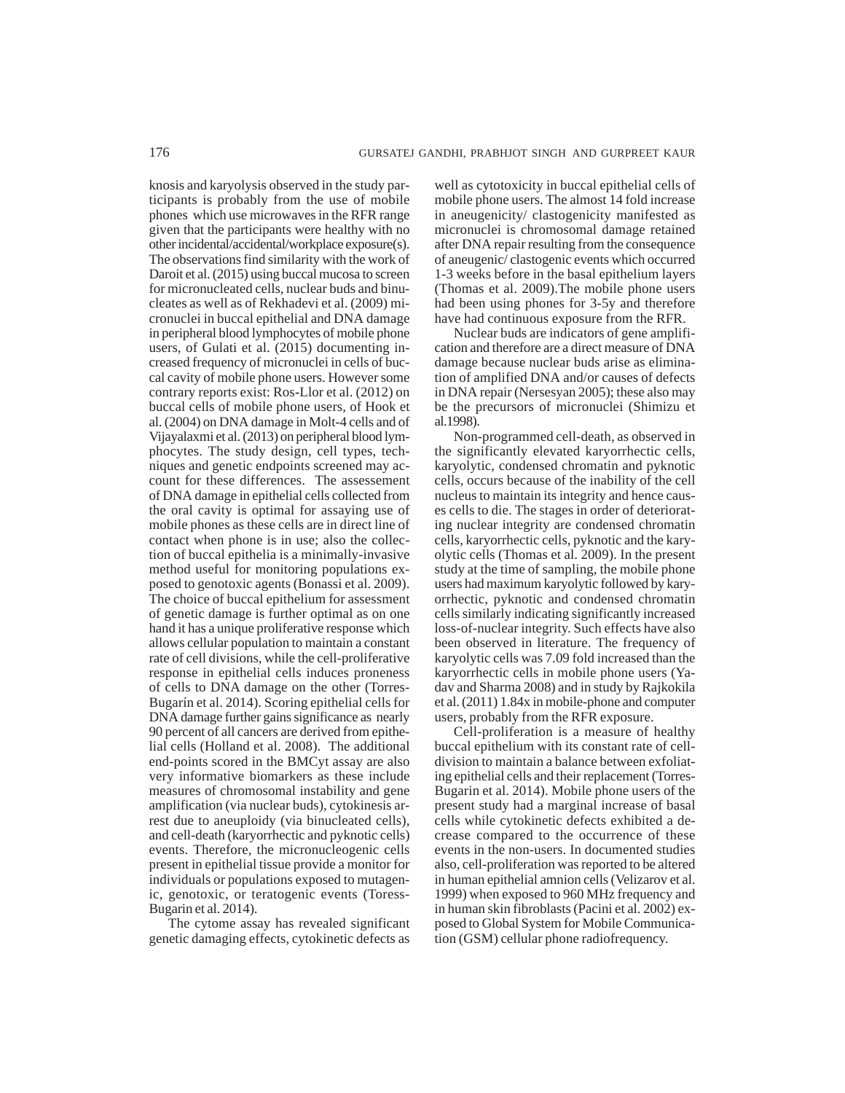knosis and karyolysis observed in the study participants is probably from the use of mobile phones which use microwaves in the RFR range given that the participants were healthy with no other incidental/accidental/workplace exposure(s). The observations find similarity with the work of Daroit et al. (2015) using buccal mucosa to screen for micronucleated cells, nuclear buds and binucleates as well as of Rekhadevi et al. (2009) micronuclei in buccal epithelial and DNA damage in peripheral blood lymphocytes of mobile phone users, of Gulati et al. (2015) documenting increased frequency of micronuclei in cells of buccal cavity of mobile phone users. However some contrary reports exist: Ros**-**Llor et al. (2012) on buccal cells of mobile phone users, of Hook et al. (2004) on DNA damage in Molt-4 cells and of Vijayalaxmi et al. (2013) on peripheral blood lymphocytes. The study design, cell types, techniques and genetic endpoints screened may account for these differences. The assessement of DNA damage in epithelial cells collected from the oral cavity is optimal for assaying use of mobile phones as these cells are in direct line of contact when phone is in use; also the collection of buccal epithelia is a minimally-invasive method useful for monitoring populations exposed to genotoxic agents (Bonassi et al. 2009). The choice of buccal epithelium for assessment of genetic damage is further optimal as on one hand it has a unique proliferative response which allows cellular population to maintain a constant rate of cell divisions, while the cell-proliferative response in epithelial cells induces proneness of cells to DNA damage on the other (Torres-Bugarín et al. 2014). Scoring epithelial cells for DNA damage further gains significance as nearly 90 percent of all cancers are derived from epithelial cells (Holland et al. 2008). The additional end-points scored in the BMCyt assay are also very informative biomarkers as these include measures of chromosomal instability and gene amplification (via nuclear buds), cytokinesis arrest due to aneuploidy (via binucleated cells), and cell-death (karyorrhectic and pyknotic cells) events. Therefore, the micronucleogenic cells present in epithelial tissue provide a monitor for individuals or populations exposed to mutagenic, genotoxic, or teratogenic events (Toress-Bugarin et al. 2014).

The cytome assay has revealed significant genetic damaging effects, cytokinetic defects as well as cytotoxicity in buccal epithelial cells of mobile phone users. The almost 14 fold increase in aneugenicity/ clastogenicity manifested as micronuclei is chromosomal damage retained after DNA repair resulting from the consequence of aneugenic/ clastogenic events which occurred 1-3 weeks before in the basal epithelium layers (Thomas et al. 2009).The mobile phone users had been using phones for 3-5y and therefore have had continuous exposure from the RFR.

Nuclear buds are indicators of gene amplification and therefore are a direct measure of DNA damage because nuclear buds arise as elimination of amplified DNA and/or causes of defects in DNA repair (Nersesyan 2005); these also may be the precursors of micronuclei (Shimizu et al.1998).

Non-programmed cell-death, as observed in the significantly elevated karyorrhectic cells, karyolytic, condensed chromatin and pyknotic cells, occurs because of the inability of the cell nucleus to maintain its integrity and hence causes cells to die. The stages in order of deteriorating nuclear integrity are condensed chromatin cells, karyorrhectic cells, pyknotic and the karyolytic cells (Thomas et al. 2009). In the present study at the time of sampling, the mobile phone users had maximum karyolytic followed by karyorrhectic, pyknotic and condensed chromatin cells similarly indicating significantly increased loss-of-nuclear integrity. Such effects have also been observed in literature. The frequency of karyolytic cells was 7.09 fold increased than the karyorrhectic cells in mobile phone users (Yadav and Sharma 2008) and in study by Rajkokila et al. (2011) 1.84x in mobile-phone and computer users, probably from the RFR exposure.

Cell-proliferation is a measure of healthy buccal epithelium with its constant rate of celldivision to maintain a balance between exfoliating epithelial cells and their replacement (Torres-Bugarin et al. 2014). Mobile phone users of the present study had a marginal increase of basal cells while cytokinetic defects exhibited a decrease compared to the occurrence of these events in the non-users. In documented studies also, cell-proliferation was reported to be altered in human epithelial amnion cells (Velizarov et al. 1999) when exposed to 960 MHz frequency and in human skin fibroblasts (Pacini et al. 2002) exposed to Global System for Mobile Communication (GSM) cellular phone radiofrequency.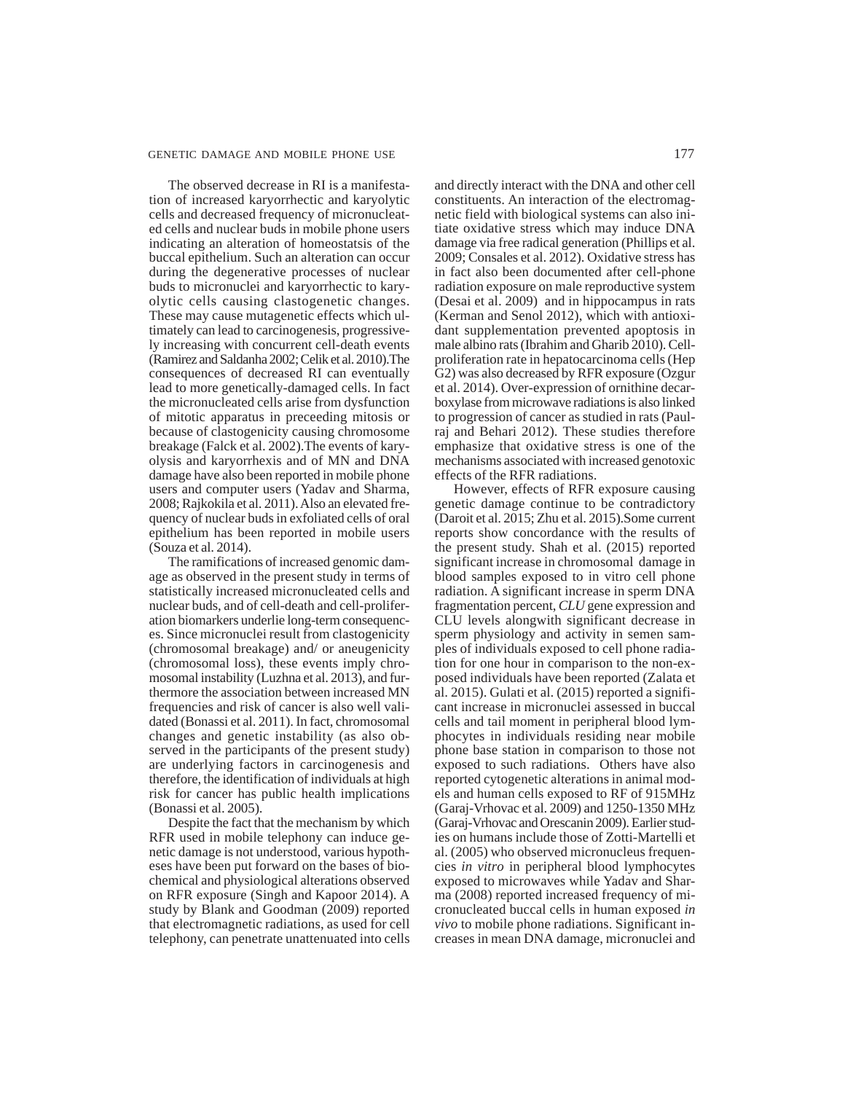## GENETIC DAMAGE AND MOBILE PHONE USE 177

The observed decrease in RI is a manifestation of increased karyorrhectic and karyolytic cells and decreased frequency of micronucleated cells and nuclear buds in mobile phone users indicating an alteration of homeostatsis of the buccal epithelium. Such an alteration can occur during the degenerative processes of nuclear buds to micronuclei and karyorrhectic to karyolytic cells causing clastogenetic changes. These may cause mutagenetic effects which ultimately can lead to carcinogenesis, progressively increasing with concurrent cell-death events (Ramirez and Saldanha 2002; Celik et al. 2010).The consequences of decreased RI can eventually lead to more genetically-damaged cells. In fact the micronucleated cells arise from dysfunction of mitotic apparatus in preceeding mitosis or because of clastogenicity causing chromosome breakage (Falck et al. 2002).The events of karyolysis and karyorrhexis and of MN and DNA damage have also been reported in mobile phone users and computer users (Yadav and Sharma, 2008; Rajkokila et al. 2011). Also an elevated frequency of nuclear buds in exfoliated cells of oral epithelium has been reported in mobile users (Souza et al. 2014).

The ramifications of increased genomic damage as observed in the present study in terms of statistically increased micronucleated cells and nuclear buds, and of cell-death and cell-proliferation biomarkers underlie long-term consequences. Since micronuclei result from clastogenicity (chromosomal breakage) and/ or aneugenicity (chromosomal loss), these events imply chromosomal instability (Luzhna et al. 2013), and furthermore the association between increased MN frequencies and risk of cancer is also well validated (Bonassi et al. 2011). In fact, chromosomal changes and genetic instability (as also observed in the participants of the present study) are underlying factors in carcinogenesis and therefore, the identification of individuals at high risk for cancer has public health implications (Bonassi et al. 2005).

Despite the fact that the mechanism by which RFR used in mobile telephony can induce genetic damage is not understood, various hypotheses have been put forward on the bases of biochemical and physiological alterations observed on RFR exposure (Singh and Kapoor 2014). A study by Blank and Goodman (2009) reported that electromagnetic radiations, as used for cell telephony, can penetrate unattenuated into cells and directly interact with the DNA and other cell constituents. An interaction of the electromagnetic field with biological systems can also initiate oxidative stress which may induce DNA damage via free radical generation (Phillips et al. 2009; Consales et al. 2012). Oxidative stress has in fact also been documented after cell-phone radiation exposure on male reproductive system (Desai et al. 2009) and in hippocampus in rats (Kerman and Senol 2012), which with antioxidant supplementation prevented apoptosis in male albino rats (Ibrahim and Gharib 2010). Cellproliferation rate in hepatocarcinoma cells (Hep G2) was also decreased by RFR exposure (Ozgur et al. 2014). Over-expression of ornithine decarboxylase from microwave radiations is also linked to progression of cancer as studied in rats (Paulraj and Behari 2012). These studies therefore emphasize that oxidative stress is one of the mechanisms associated with increased genotoxic effects of the RFR radiations.

However, effects of RFR exposure causing genetic damage continue to be contradictory (Daroit et al. 2015; Zhu et al. 2015).Some current reports show concordance with the results of the present study. Shah et al. (2015) reported significant increase in chromosomal damage in blood samples exposed to in vitro cell phone radiation. A significant increase in sperm DNA fragmentation percent, *CLU* gene expression and CLU levels alongwith significant decrease in sperm physiology and activity in semen samples of individuals exposed to cell phone radiation for one hour in comparison to the non-exposed individuals have been reported (Zalata et al. 2015). Gulati et al. (2015) reported a significant increase in micronuclei assessed in buccal cells and tail moment in peripheral blood lymphocytes in individuals residing near mobile phone base station in comparison to those not exposed to such radiations. Others have also reported cytogenetic alterations in animal models and human cells exposed to RF of 915MHz (Garaj-Vrhovac et al. 2009) and 1250-1350 MHz (Garaj-Vrhovac and Orescanin 2009). Earlier studies on humans include those of Zotti-Martelli et al. (2005) who observed micronucleus frequencies *in vitro* in peripheral blood lymphocytes exposed to microwaves while Yadav and Sharma (2008) reported increased frequency of micronucleated buccal cells in human exposed *in vivo* to mobile phone radiations. Significant increases in mean DNA damage, micronuclei and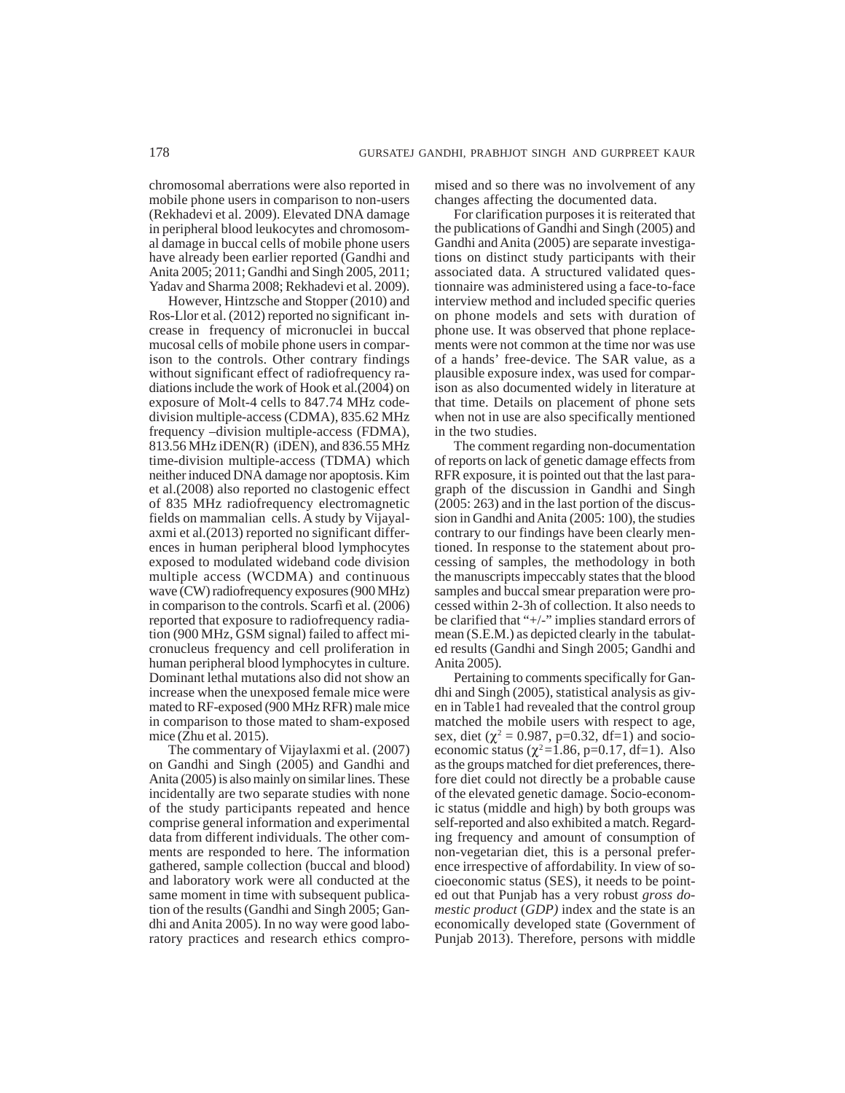chromosomal aberrations were also reported in mobile phone users in comparison to non-users (Rekhadevi et al. 2009). Elevated DNA damage in peripheral blood leukocytes and chromosomal damage in buccal cells of mobile phone users have already been earlier reported (Gandhi and Anita 2005; 2011; Gandhi and Singh 2005, 2011; Yadav and Sharma 2008; Rekhadevi et al. 2009).

However, Hintzsche and Stopper (2010) and Ros-Llor et al. (2012) reported no significant increase in frequency of micronuclei in buccal mucosal cells of mobile phone users in comparison to the controls. Other contrary findings without significant effect of radiofrequency radiations include the work of Hook et al.(2004) on exposure of Molt-4 cells to 847.74 MHz codedivision multiple-access (CDMA), 835.62 MHz frequency –division multiple-access (FDMA), 813.56 MHz iDEN(R) (iDEN), and 836.55 MHz time-division multiple-access (TDMA) which neither induced DNA damage nor apoptosis. Kim et al.(2008) also reported no clastogenic effect of 835 MHz radiofrequency electromagnetic fields on mammalian cells. A study by Vijayalaxmi et al.(2013) reported no significant differences in human peripheral blood lymphocytes exposed to modulated wideband code division multiple access (WCDMA) and continuous wave (CW) radiofrequency exposures (900 MHz) in comparison to the controls. Scarfì et al. (2006) reported that exposure to radiofrequency radiation (900 MHz, GSM signal) failed to affect micronucleus frequency and cell proliferation in human peripheral blood lymphocytes in culture. Dominant lethal mutations also did not show an increase when the unexposed female mice were mated to RF-exposed (900 MHz RFR) male mice in comparison to those mated to sham-exposed mice (Zhu et al. 2015).

The commentary of Vijaylaxmi et al. (2007) on Gandhi and Singh (2005) and Gandhi and Anita (2005) is also mainly on similar lines. These incidentally are two separate studies with none of the study participants repeated and hence comprise general information and experimental data from different individuals. The other comments are responded to here. The information gathered, sample collection (buccal and blood) and laboratory work were all conducted at the same moment in time with subsequent publication of the results (Gandhi and Singh 2005; Gandhi and Anita 2005). In no way were good laboratory practices and research ethics compromised and so there was no involvement of any changes affecting the documented data.

For clarification purposes it is reiterated that the publications of Gandhi and Singh (2005) and Gandhi and Anita (2005) are separate investigations on distinct study participants with their associated data. A structured validated questionnaire was administered using a face-to-face interview method and included specific queries on phone models and sets with duration of phone use. It was observed that phone replacements were not common at the time nor was use of a hands' free-device. The SAR value, as a plausible exposure index, was used for comparison as also documented widely in literature at that time. Details on placement of phone sets when not in use are also specifically mentioned in the two studies.

The comment regarding non-documentation of reports on lack of genetic damage effects from RFR exposure, it is pointed out that the last paragraph of the discussion in Gandhi and Singh (2005: 263) and in the last portion of the discussion in Gandhi and Anita (2005: 100), the studies contrary to our findings have been clearly mentioned. In response to the statement about processing of samples, the methodology in both the manuscripts impeccably states that the blood samples and buccal smear preparation were processed within 2-3h of collection. It also needs to be clarified that "+/-" implies standard errors of mean (S.E.M.) as depicted clearly in the tabulated results (Gandhi and Singh 2005; Gandhi and Anita 2005).

Pertaining to comments specifically for Gandhi and Singh (2005), statistical analysis as given in Table1 had revealed that the control group matched the mobile users with respect to age, sex, diet ( $\chi^2 = 0.987$ , p=0.32, df=1) and socioeconomic status ( $\chi^2$ =1.86, p=0.17, df=1). Also as the groups matched for diet preferences, therefore diet could not directly be a probable cause of the elevated genetic damage. Socio-economic status (middle and high) by both groups was self-reported and also exhibited a match. Regarding frequency and amount of consumption of non-vegetarian diet, this is a personal preference irrespective of affordability. In view of socioeconomic status (SES), it needs to be pointed out that Punjab has a very robust *gross domestic product* (*GDP)* index and the state is an economically developed state (Government of Punjab 2013). Therefore, persons with middle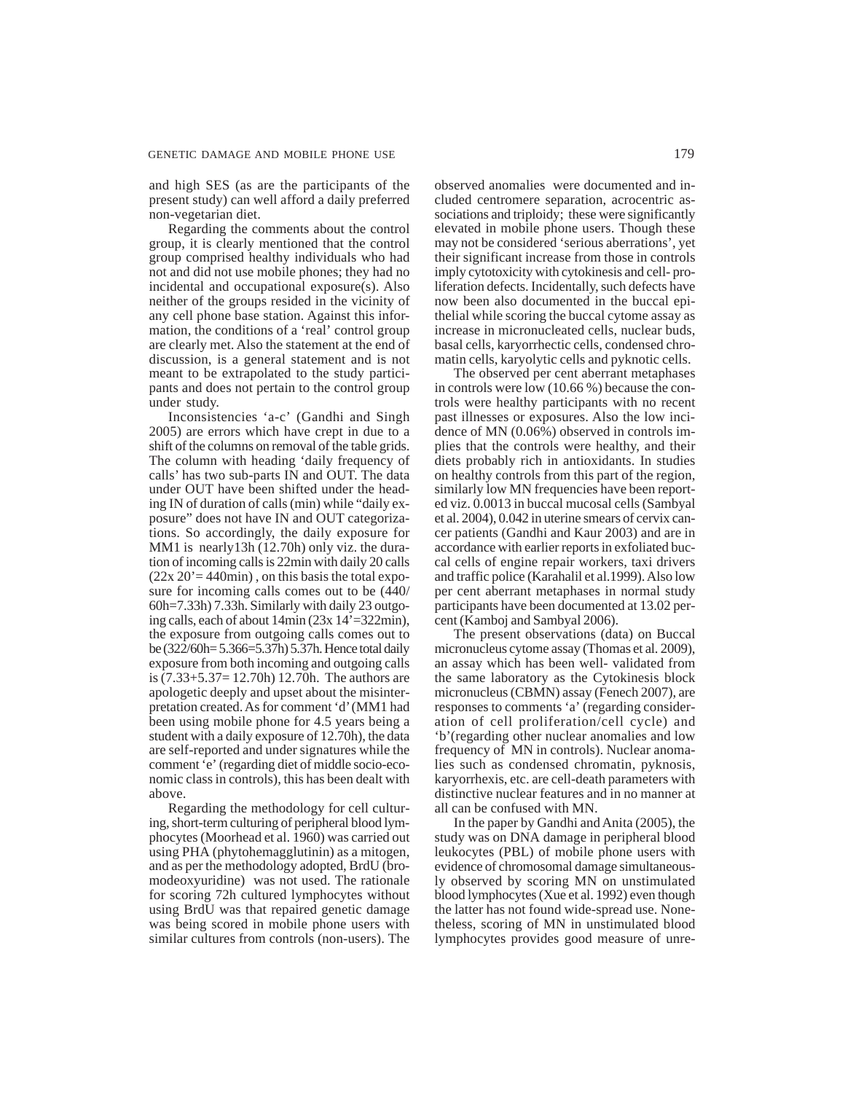and high SES (as are the participants of the present study) can well afford a daily preferred non-vegetarian diet.

Regarding the comments about the control group, it is clearly mentioned that the control group comprised healthy individuals who had not and did not use mobile phones; they had no incidental and occupational exposure(s). Also neither of the groups resided in the vicinity of any cell phone base station. Against this information, the conditions of a 'real' control group are clearly met. Also the statement at the end of discussion, is a general statement and is not meant to be extrapolated to the study participants and does not pertain to the control group under study.

Inconsistencies 'a-c' (Gandhi and Singh 2005) are errors which have crept in due to a shift of the columns on removal of the table grids. The column with heading 'daily frequency of calls' has two sub-parts IN and OUT. The data under OUT have been shifted under the heading IN of duration of calls (min) while "daily exposure" does not have IN and OUT categorizations. So accordingly, the daily exposure for MM1 is nearly13h (12.70h) only viz. the duration of incoming calls is 22min with daily 20 calls  $(22x 20) = 440$ min), on this basis the total exposure for incoming calls comes out to be (440/ 60h=7.33h) 7.33h. Similarly with daily 23 outgoing calls, each of about 14min (23x 14'=322min), the exposure from outgoing calls comes out to be (322/60h= 5.366=5.37h) 5.37h. Hence total daily exposure from both incoming and outgoing calls is (7.33+5.37= 12.70h) 12.70h. The authors are apologetic deeply and upset about the misinterpretation created. As for comment 'd' (MM1 had been using mobile phone for 4.5 years being a student with a daily exposure of 12.70h), the data are self-reported and under signatures while the comment 'e' (regarding diet of middle socio-economic class in controls), this has been dealt with above.

Regarding the methodology for cell culturing, short-term culturing of peripheral blood lymphocytes (Moorhead et al. 1960) was carried out using PHA (phytohemagglutinin) as a mitogen, and as per the methodology adopted, BrdU (bromodeoxyuridine) was not used. The rationale for scoring 72h cultured lymphocytes without using BrdU was that repaired genetic damage was being scored in mobile phone users with similar cultures from controls (non-users). The observed anomalies were documented and included centromere separation, acrocentric associations and triploidy; these were significantly elevated in mobile phone users. Though these may not be considered 'serious aberrations', yet their significant increase from those in controls imply cytotoxicity with cytokinesis and cell- proliferation defects. Incidentally, such defects have now been also documented in the buccal epithelial while scoring the buccal cytome assay as increase in micronucleated cells, nuclear buds, basal cells, karyorrhectic cells, condensed chromatin cells, karyolytic cells and pyknotic cells.

The observed per cent aberrant metaphases in controls were low (10.66 %) because the controls were healthy participants with no recent past illnesses or exposures. Also the low incidence of MN (0.06%) observed in controls implies that the controls were healthy, and their diets probably rich in antioxidants. In studies on healthy controls from this part of the region, similarly low MN frequencies have been reported viz. 0.0013 in buccal mucosal cells (Sambyal et al. 2004), 0.042 in uterine smears of cervix cancer patients (Gandhi and Kaur 2003) and are in accordance with earlier reports in exfoliated buccal cells of engine repair workers, taxi drivers and traffic police (Karahalil et al.1999). Also low per cent aberrant metaphases in normal study participants have been documented at 13.02 percent (Kamboj and Sambyal 2006).

The present observations (data) on Buccal micronucleus cytome assay (Thomas et al. 2009), an assay which has been well- validated from the same laboratory as the Cytokinesis block micronucleus (CBMN) assay (Fenech 2007), are responses to comments 'a' (regarding consideration of cell proliferation/cell cycle) and 'b'(regarding other nuclear anomalies and low frequency of MN in controls). Nuclear anomalies such as condensed chromatin, pyknosis, karyorrhexis, etc. are cell-death parameters with distinctive nuclear features and in no manner at all can be confused with MN.

In the paper by Gandhi and Anita (2005), the study was on DNA damage in peripheral blood leukocytes (PBL) of mobile phone users with evidence of chromosomal damage simultaneously observed by scoring MN on unstimulated blood lymphocytes (Xue et al. 1992) even though the latter has not found wide-spread use. Nonetheless, scoring of MN in unstimulated blood lymphocytes provides good measure of unre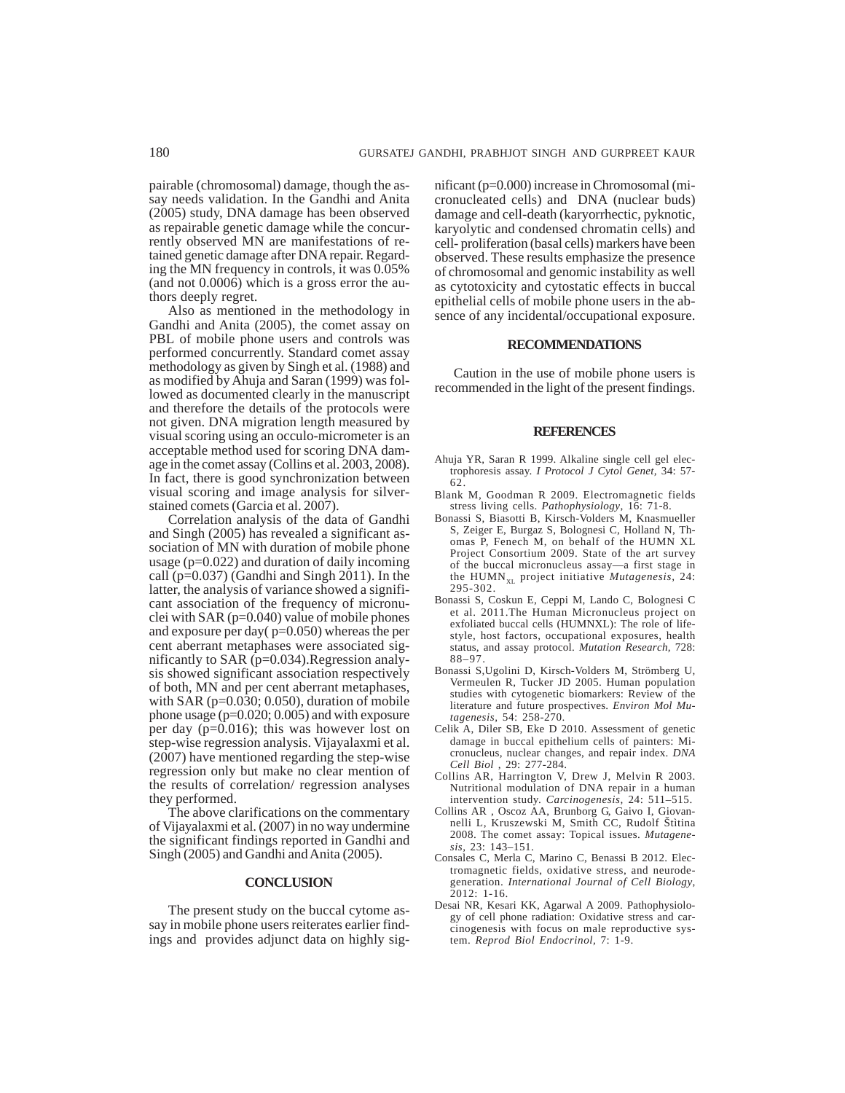pairable (chromosomal) damage, though the assay needs validation. In the Gandhi and Anita (2005) study, DNA damage has been observed as repairable genetic damage while the concurrently observed MN are manifestations of retained genetic damage after DNA repair. Regarding the MN frequency in controls, it was 0.05% (and not 0.0006) which is a gross error the authors deeply regret.

Also as mentioned in the methodology in Gandhi and Anita (2005), the comet assay on PBL of mobile phone users and controls was performed concurrently. Standard comet assay methodology as given by Singh et al. (1988) and as modified by Ahuja and Saran (1999) was followed as documented clearly in the manuscript and therefore the details of the protocols were not given. DNA migration length measured by visual scoring using an occulo-micrometer is an acceptable method used for scoring DNA damage in the comet assay (Collins et al. 2003, 2008). In fact, there is good synchronization between visual scoring and image analysis for silverstained comets (Garcia et al. 2007).

Correlation analysis of the data of Gandhi and Singh (2005) has revealed a significant association of MN with duration of mobile phone usage (p=0.022) and duration of daily incoming call (p=0.037) (Gandhi and Singh 2011). In the latter, the analysis of variance showed a significant association of the frequency of micronuclei with SAR (p=0.040) value of mobile phones and exposure per day( $p=0.050$ ) whereas the per cent aberrant metaphases were associated significantly to SAR  $(p=0.034)$ . Regression analysis showed significant association respectively of both, MN and per cent aberrant metaphases, with  $SAR$  ( $p=0.030$ ; 0.050), duration of mobile phone usage (p=0.020; 0.005) and with exposure per day (p=0.016); this was however lost on step-wise regression analysis. Vijayalaxmi et al. (2007) have mentioned regarding the step-wise regression only but make no clear mention of the results of correlation/ regression analyses they performed.

The above clarifications on the commentary of Vijayalaxmi et al. (2007) in no way undermine the significant findings reported in Gandhi and Singh (2005) and Gandhi and Anita (2005).

## **CONCLUSION**

The present study on the buccal cytome assay in mobile phone users reiterates earlier findings and provides adjunct data on highly significant (p=0.000) increase in Chromosomal (micronucleated cells) and DNA (nuclear buds) damage and cell-death (karyorrhectic, pyknotic, karyolytic and condensed chromatin cells) and cell- proliferation (basal cells) markers have been observed. These results emphasize the presence of chromosomal and genomic instability as well as cytotoxicity and cytostatic effects in buccal epithelial cells of mobile phone users in the absence of any incidental/occupational exposure.

#### **RECOMMENDATIONS**

Caution in the use of mobile phone users is recommended in the light of the present findings.

#### **REFERENCES**

- Ahuja YR, Saran R 1999. Alkaline single cell gel electrophoresis assay. *I Protocol J Cytol Genet,* 34: 57- 62.
- Blank M, Goodman R 2009. Electromagnetic fields stress living cells. *Pathophysiology*, 16: 71-8.
- Bonassi S, Biasotti B, Kirsch-Volders M, Knasmueller S, Zeiger E, Burgaz S, Bolognesi C, Holland N, Thomas P, Fenech M, on behalf of the HUMN XL Project Consortium 2009. State of the art survey of the buccal micronucleus assay—a first stage in the HUMN<sub>XL</sub> project initiative *Mutagenesis*, 24: 295-302.
- Bonassi S, Coskun E, Ceppi M, Lando C, Bolognesi C et al. 2011.The Human Micronucleus project on exfoliated buccal cells (HUMNXL): The role of lifestyle, host factors, occupational exposures, health status, and assay protocol. *Mutation Research,* 728: 88–97.
- Bonassi S,Ugolini D, Kirsch-Volders M, Strömberg U, Vermeulen R, Tucker JD 2005. Human population studies with cytogenetic biomarkers: Review of the literature and future prospectives. *Environ Mol Mutagenesis,* 54: 258-270.
- Celik A, Diler SB, Eke D 2010. Assessment of genetic damage in buccal epithelium cells of painters: Micronucleus, nuclear changes, and repair index. *DNA Cell Biol* , 29: 277-284.
- Collins AR, Harrington V, Drew J, Melvin R 2003. Nutritional modulation of DNA repair in a human intervention study. *Carcinogenesis,* 24: 511–515.
- Collins AR , Oscoz AA, Brunborg G, Gaivo I, Giovannelli L, Kruszewski M, Smith CC, Rudolf Štìtina 2008. The comet assay: Topical issues. *Mutagenesis,* 23: 143–151.
- Consales C, Merla C, Marino C, Benassi B 2012. Electromagnetic fields, oxidative stress, and neurodegeneration. *International Journal of Cell Biology*, 2012: 1-16.
- Desai NR, Kesari KK, Agarwal A 2009. Pathophysiology of cell phone radiation: Oxidative stress and carcinogenesis with focus on male reproductive system. *Reprod Biol Endocrinol,* 7: 1-9.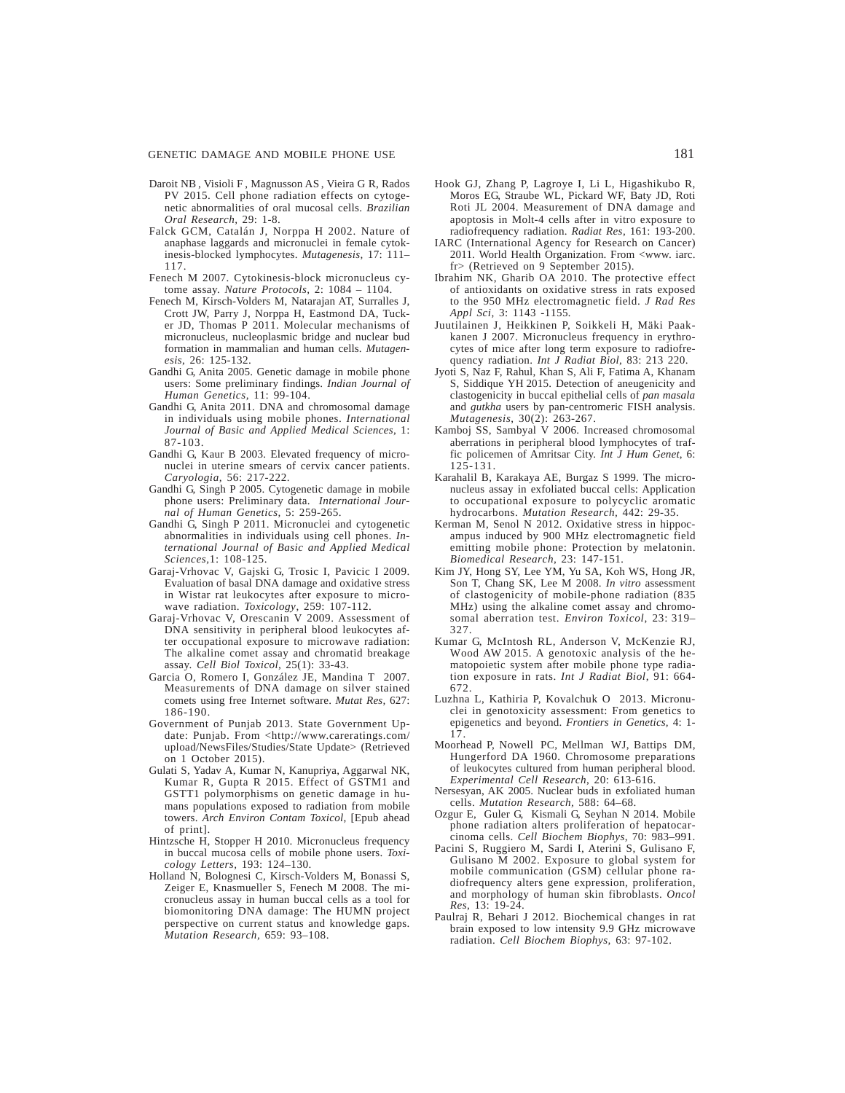#### GENETIC DAMAGE AND MOBILE PHONE USE 181

- Daroit NB , Visioli F , Magnusson AS , Vieira G R, Rados PV 2015. Cell phone radiation effects on cytogenetic abnormalities of oral mucosal cells. *Brazilian Oral Research,* 29: 1-8.
- Falck GCM, Catalán J, Norppa H 2002. Nature of anaphase laggards and micronuclei in female cytokinesis-blocked lymphocytes. *Mutagenesis,* 17: 111– 117.
- Fenech M 2007. Cytokinesis-block micronucleus cytome assay. *Nature Protocols,* 2: 1084 – 1104.
- Fenech M, Kirsch-Volders M, Natarajan AT, Surralles J, Crott JW, Parry J, Norppa H, Eastmond DA, Tucker JD, Thomas P 2011. Molecular mechanisms of micronucleus, nucleoplasmic bridge and nuclear bud formation in mammalian and human cells. *Mutagenesis*, 26: 125-132.
- Gandhi G, Anita 2005. Genetic damage in mobile phone users: Some preliminary findings. *Indian Journal of Human Genetics,* 11: 99-104.
- Gandhi G, Anita 2011. DNA and chromosomal damage in individuals using mobile phones. *International Journal of Basic and Applied Medical Sciences,* 1: 87-103.
- Gandhi G, Kaur B 2003. Elevated frequency of micronuclei in uterine smears of cervix cancer patients. *Caryologia,* 56: 217-222.
- Gandhi G, Singh P 2005. Cytogenetic damage in mobile phone users: Preliminary data. *International Journal of Human Genetics,* 5: 259-265.
- Gandhi G, Singh P 2011. Micronuclei and cytogenetic abnormalities in individuals using cell phones. *International Journal of Basic and Applied Medical Sciences,*1: 108-125.
- Garaj-Vrhovac V, Gajski G, Trosic I, Pavicic I 2009. Evaluation of basal DNA damage and oxidative stress in Wistar rat leukocytes after exposure to microwave radiation. *Toxicology*, 259: 107-112.
- Garaj-Vrhovac V, Orescanin V 2009. Assessment of DNA sensitivity in peripheral blood leukocytes after occupational exposure to microwave radiation: The alkaline comet assay and chromatid breakage assay. *Cell Biol Toxicol,* 25(1): 33-43.
- Garcia O, Romero I, González JE, Mandina T 2007. Measurements of DNA damage on silver stained comets using free Internet software. *Mutat Res,* 627: 186-190.
- Government of Punjab 2013. State Government Update: Punjab. From <http://www.careratings.com/ upload/NewsFiles/Studies/State Update> (Retrieved on 1 October 2015).
- Gulati S, Yadav A, Kumar N, Kanupriya, Aggarwal NK, Kumar R, Gupta R 2015. Effect of GSTM1 and GSTT1 polymorphisms on genetic damage in humans populations exposed to radiation from mobile towers. *Arch Environ Contam Toxicol*, [Epub ahead of print].
- Hintzsche H, Stopper H 2010. Micronucleus frequency in buccal mucosa cells of mobile phone users. *Toxicology Letters,* 193: 124–130.
- Holland N, Bolognesi C, Kirsch-Volders M, Bonassi S, Zeiger E, Knasmueller S, Fenech M 2008. The micronucleus assay in human buccal cells as a tool for biomonitoring DNA damage: The HUMN project perspective on current status and knowledge gaps. *Mutation Research,* 659: 93–108.
- Hook GJ, Zhang P, Lagroye I, Li L, Higashikubo R, Moros EG, Straube WL, Pickard WF, Baty JD, Roti Roti JL 2004. Measurement of DNA damage and apoptosis in Molt-4 cells after in vitro exposure to radiofrequency radiation. *Radiat Res*, 161: 193-200.
- IARC (International Agency for Research on Cancer) 2011. World Health Organization. From <www. iarc. fr> (Retrieved on 9 September 2015).
- Ibrahim NK, Gharib OA 2010. The protective effect of antioxidants on oxidative stress in rats exposed to the 950 MHz electromagnetic field. *J Rad Res Appl Sci,* 3: 1143 -1155*.*
- Juutilainen J, Heikkinen P, Soikkeli H, Mäki Paakkanen J 2007. Micronucleus frequency in erythrocytes of mice after long term exposure to radiofrequency radiation. *Int J Radiat Biol*, 83: 213 220.
- Jyoti S, Naz F, Rahul, Khan S, Ali F, Fatima A, Khanam S, Siddique YH 2015. Detection of aneugenicity and clastogenicity in buccal epithelial cells of *pan masala* and *gutkha* users by pan-centromeric FISH analysis. *Mutagenesis*, 30(2): 263-267.
- Kamboj SS, Sambyal V 2006. Increased chromosomal aberrations in peripheral blood lymphocytes of traffic policemen of Amritsar City. *Int J Hum Genet*, 6: 125-131.
- Karahalil B, Karakaya AE, Burgaz S 1999. The micronucleus assay in exfoliated buccal cells: Application to occupational exposure to polycyclic aromatic hydrocarbons. *Mutation Research,* 442: 29-35.
- Kerman M, Senol N 2012. Oxidative stress in hippocampus induced by 900 MHz electromagnetic field emitting mobile phone: Protection by melatonin. *Biomedical Research,* 23: 147-151*.*
- Kim JY, Hong SY, Lee YM, Yu SA, Koh WS, Hong JR, Son T, Chang SK, Lee M 2008. *In vitro* assessment of clastogenicity of mobile-phone radiation (835 MHz) using the alkaline comet assay and chromosomal aberration test. *Environ Toxicol,* 23: 319– 327.
- Kumar G, McIntosh RL, Anderson V, McKenzie RJ, Wood AW 2015. A genotoxic analysis of the hematopoietic system after mobile phone type radiation exposure in rats. *Int J Radiat Biol*, 91: 664- 672.
- Luzhna L, Kathiria P, Kovalchuk O2013. Micronuclei in genotoxicity assessment: From genetics to epigenetics and beyond. *Frontiers in Genetics,* 4: 1- 17.
- Moorhead P, Nowell PC, Mellman WJ, Battips DM, Hungerford DA 1960. Chromosome preparations of leukocytes cultured from human peripheral blood. *Experimental Cell Research*, 20: 613-616.
- Nersesyan, AK 2005. Nuclear buds in exfoliated human cells. *Mutation Research,* 588: 64–68.
- Ozgur E, Guler G, Kismali G, Seyhan N 2014. Mobile phone radiation alters proliferation of hepatocarcinoma cells. *Cell Biochem Biophys,* 70: 983–991.
- Pacini S, Ruggiero M, Sardi I, Aterini S, Gulisano F, Gulisano M 2002. Exposure to global system for mobile communication (GSM) cellular phone radiofrequency alters gene expression, proliferation, and morphology of human skin fibroblasts. *Oncol Res*, 13: 19-24.
- Paulraj R, Behari J 2012. Biochemical changes in rat brain exposed to low intensity 9.9 GHz microwave radiation. *Cell Biochem Biophys,* 63: 97-102.